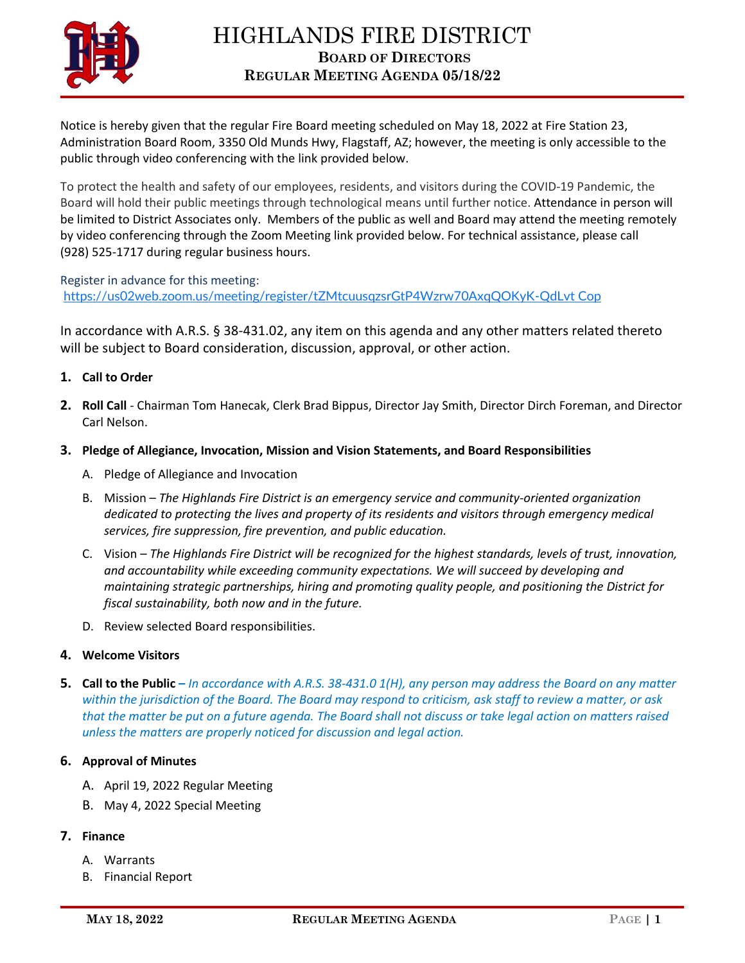

Notice is hereby given that the regular Fire Board meeting scheduled on May 18, 2022 at Fire Station 23, Administration Board Room, 3350 Old Munds Hwy, Flagstaff, AZ; however, the meeting is only accessible to the public through video conferencing with the link provided below.

To protect the health and safety of our employees, residents, and visitors during the COVID-19 Pandemic, the Board will hold their public meetings through technological means until further notice. Attendance in person will be limited to District Associates only. Members of the public as well and Board may attend the meeting remotely by video conferencing through the Zoom Meeting link provided below. For technical assistance, please call (928) 525-1717 during regular business hours.

Register in advance for this meeting: <https://us02web.zoom.us/meeting/register/tZMtcuusqzsrGtP4Wzrw70AxqQOKyK-QdLvt> [Cop](javascript:;)

In accordance with A.R.S. § 38-431.02, any item on this agenda and any other matters related thereto will be subject to Board consideration, discussion, approval, or other action.

- **1. Call to Order**
- **2. Roll Call** Chairman Tom Hanecak, Clerk Brad Bippus, Director Jay Smith, Director Dirch Foreman, and Director Carl Nelson.
- **3. Pledge of Allegiance, Invocation, Mission and Vision Statements, and Board Responsibilities**
	- A. Pledge of Allegiance and Invocation
	- B. Mission *The Highlands Fire District is an emergency service and community-oriented organization dedicated to protecting the lives and property of its residents and visitors through emergency medical services, fire suppression, fire prevention, and public education.*
	- C. Vision *The Highlands Fire District will be recognized for the highest standards, levels of trust, innovation, and accountability while exceeding community expectations. We will succeed by developing and maintaining strategic partnerships, hiring and promoting quality people, and positioning the District for fiscal sustainability, both now and in the future.*
	- D. Review selected Board responsibilities.

## **4. Welcome Visitors**

**5. Call to the Public –** *In accordance with A.R.S. 38-431.0 1(H), any person may address the Board on any matter within the jurisdiction of the Board. The Board may respond to criticism, ask staff to review a matter, or ask that the matter be put on a future agenda. The Board shall not discuss or take legal action on matters raised unless the matters are properly noticed for discussion and legal action.*

### **6. Approval of Minutes**

- A. April 19, 2022 Regular Meeting
- B. May 4, 2022 Special Meeting

# **7. Finance**

- A. Warrants
- B. Financial Report